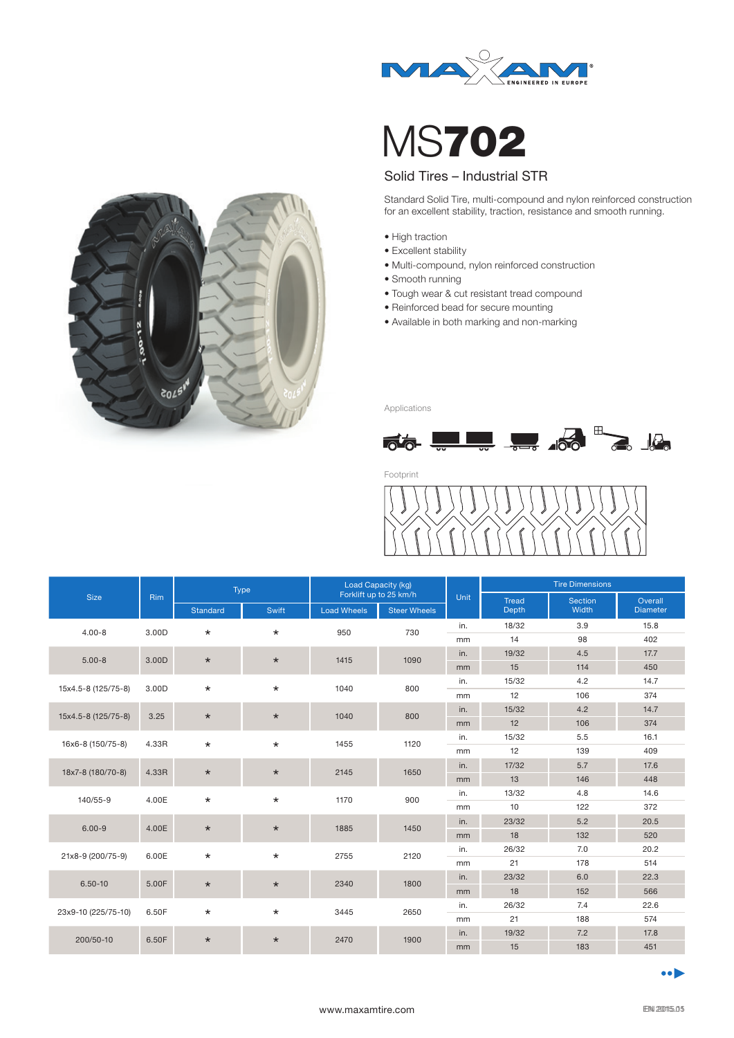



Standard Solid Tire, multi-compound and nylon reinforced construction for an excellent stability, traction, resistance and smooth running.

- High traction
- Excellent stability
- Multi-compound, nylon reinforced construction
- Smooth running
- Tough wear & cut resistant tread compound
- Reinforced bead for secure mounting
- Available in both marking and non-marking



Applications



Footprint



| <b>Size</b>         | <b>Rim</b> | Type     |         | Load Capacity (kg)<br>Forklift up to 25 km/h |                     |      | <b>Tire Dimensions</b>       |                  |                            |
|---------------------|------------|----------|---------|----------------------------------------------|---------------------|------|------------------------------|------------------|----------------------------|
|                     |            |          |         |                                              |                     | Unit | <b>Tread</b><br><b>Depth</b> | Section<br>Width | Overall<br><b>Diameter</b> |
|                     |            | Standard | Swift   | <b>Load Wheels</b>                           | <b>Steer Wheels</b> |      |                              |                  |                            |
| $4.00 - 8$          | 3.00D      | $\star$  | $\star$ | 950                                          | 730                 | in.  | 18/32                        | 3.9              | 15.8                       |
|                     |            |          |         |                                              |                     | mm   | 14                           | 98               | 402                        |
| $5.00 - 8$          | 3.00D      | $\star$  | $\star$ | 1415                                         | 1090                | in.  | 19/32                        | 4.5              | 17.7                       |
|                     |            |          |         |                                              |                     | mm   | 15                           | 114              | 450                        |
| 15x4.5-8 (125/75-8) | 3.00D      | $\star$  | $\star$ | 1040                                         | 800                 | in.  | 15/32                        | 4.2              | 14.7                       |
|                     |            |          |         |                                              |                     | mm   | 12                           | 106              | 374                        |
| 15x4.5-8 (125/75-8) | 3.25       | $\star$  | $\star$ | 1040                                         | 800                 | in.  | 15/32                        | 4.2              | 14.7                       |
|                     |            |          |         |                                              |                     | mm   | 12                           | 106              | 374                        |
| 16x6-8 (150/75-8)   | 4.33R      | $\star$  | $\star$ | 1455                                         | 1120                | in.  | 15/32                        | 5.5              | 16.1                       |
|                     |            |          |         |                                              |                     | mm   | 12                           | 139              | 409                        |
| 18x7-8 (180/70-8)   | 4.33R      | $\star$  | $\star$ | 2145                                         | 1650                | in.  | 17/32                        | 5.7              | 17.6                       |
|                     |            |          |         |                                              |                     | mm   | 13                           | 146              | 448                        |
| 140/55-9            | 4.00E      | $\star$  | $\star$ | 1170                                         | 900                 | in.  | 13/32                        | 4.8              | 14.6                       |
|                     |            |          |         |                                              |                     | mm   | 10                           | 122              | 372                        |
| $6.00 - 9$          | 4.00E      | $\star$  | $\star$ | 1885                                         | 1450                | in.  | 23/32                        | 5.2              | 20.5                       |
|                     |            |          |         |                                              |                     | mm   | 18                           | 132              | 520                        |
| 21x8-9 (200/75-9)   | 6.00E      | $\star$  | $\star$ | 2755                                         | 2120                | in.  | 26/32                        | 7.0              | 20.2                       |
|                     |            |          |         |                                              |                     | mm   | 21                           | 178              | 514                        |
| $6.50 - 10$         | 5.00F      | $\star$  | $\star$ | 2340                                         | 1800                | in.  | 23/32                        | 6.0              | 22.3                       |
|                     |            |          |         |                                              |                     | mm   | 18                           | 152              | 566                        |
| 23x9-10 (225/75-10) | 6.50F      | $\star$  | $\star$ | 3445                                         | 2650                | in.  | 26/32                        | 7.4              | 22.6                       |
|                     |            |          |         |                                              |                     | mm   | 21                           | 188              | 574                        |
| 200/50-10           | 6.50F      | $\star$  | $\star$ | 2470                                         | 1900                | in.  | 19/32                        | 7.2              | 17.8                       |
|                     |            |          |         |                                              |                     | mm   | 15                           | 183              | 451                        |

 $\bullet$